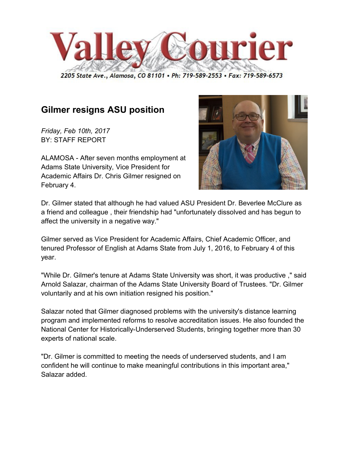

2205 State Ave., Alamosa, CO 81101 . Ph: 719-589-2553 . Fax: 719-589-6573

## **Gilmer resigns ASU position**

*Friday, Feb 10th, 2017* BY: STAFF REPORT

ALAMOSA - After seven months employment at Adams State University, Vice President for Academic Affairs Dr. Chris Gilmer resigned on February 4.



Dr. Gilmer stated that although he had valued ASU President Dr. Beverlee McClure as a friend and colleague , their friendship had "unfortunately dissolved and has begun to affect the university in a negative way."

Gilmer served as Vice President for Academic Affairs, Chief Academic Officer, and tenured Professor of English at Adams State from July 1, 2016, to February 4 of this year.

"While Dr. Gilmer's tenure at Adams State University was short, it was productive ," said Arnold Salazar, chairman of the Adams State University Board of Trustees. "Dr. Gilmer voluntarily and at his own initiation resigned his position."

Salazar noted that Gilmer diagnosed problems with the university's distance learning program and implemented reforms to resolve accreditation issues. He also founded the National Center for Historically-Underserved Students, bringing together more than 30 experts of national scale.

"Dr. Gilmer is committed to meeting the needs of underserved students, and I am confident he will continue to make meaningful contributions in this important area," Salazar added.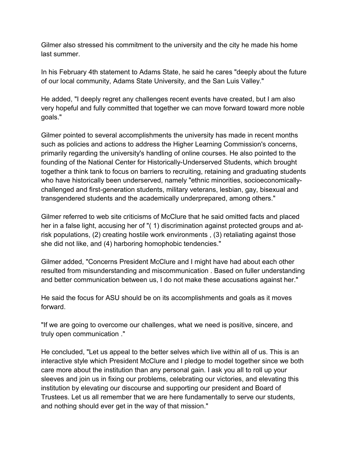Gilmer also stressed his commitment to the university and the city he made his home last summer.

In his February 4th statement to Adams State, he said he cares "deeply about the future of our local community, Adams State University, and the San Luis Valley."

He added, "I deeply regret any challenges recent events have created, but I am also very hopeful and fully committed that together we can move forward toward more noble goals."

Gilmer pointed to several accomplishments the university has made in recent months such as policies and actions to address the Higher Learning Commission's concerns, primarily regarding the university's handling of online courses. He also pointed to the founding of the National Center for Historically-Underserved Students, which brought together a think tank to focus on barriers to recruiting, retaining and graduating students who have historically been underserved, namely "ethnic minorities, socioeconomicallychallenged and first-generation students, military veterans, lesbian, gay, bisexual and transgendered students and the academically underprepared, among others."

Gilmer referred to web site criticisms of McClure that he said omitted facts and placed her in a false light, accusing her of "( 1) discrimination against protected groups and atrisk populations, (2) creating hostile work environments , (3) retaliating against those she did not like, and (4) harboring homophobic tendencies."

Gilmer added, "Concerns President McClure and I might have had about each other resulted from misunderstanding and miscommunication . Based on fuller understanding and better communication between us, I do not make these accusations against her."

He said the focus for ASU should be on its accomplishments and goals as it moves forward.

"If we are going to overcome our challenges, what we need is positive, sincere, and truly open communication ."

He concluded, "Let us appeal to the better selves which live within all of us. This is an interactive style which President McClure and I pledge to model together since we both care more about the institution than any personal gain. I ask you all to roll up your sleeves and join us in fixing our problems, celebrating our victories, and elevating this institution by elevating our discourse and supporting our president and Board of Trustees. Let us all remember that we are here fundamentally to serve our students, and nothing should ever get in the way of that mission."